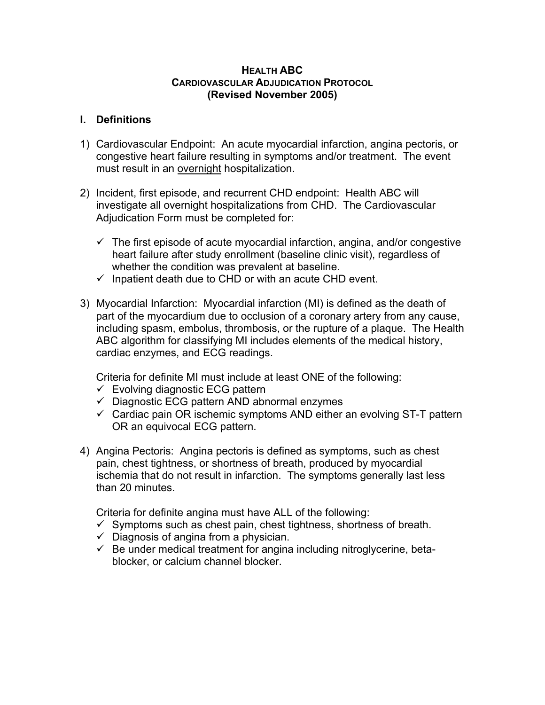#### **HEALTH ABC CARDIOVASCULAR ADJUDICATION PROTOCOL (Revised November 2005)**

#### **I. Definitions**

- 1) Cardiovascular Endpoint: An acute myocardial infarction, angina pectoris, or congestive heart failure resulting in symptoms and/or treatment. The event must result in an overnight hospitalization.
- 2) Incident, first episode, and recurrent CHD endpoint: Health ABC will investigate all overnight hospitalizations from CHD. The Cardiovascular Adjudication Form must be completed for:
	- $\checkmark$  The first episode of acute myocardial infarction, angina, and/or congestive heart failure after study enrollment (baseline clinic visit), regardless of whether the condition was prevalent at baseline.
	- $\checkmark$  Inpatient death due to CHD or with an acute CHD event.
- 3) Myocardial Infarction: Myocardial infarction (MI) is defined as the death of part of the myocardium due to occlusion of a coronary artery from any cause, including spasm, embolus, thrombosis, or the rupture of a plaque. The Health ABC algorithm for classifying MI includes elements of the medical history, cardiac enzymes, and ECG readings.

Criteria for definite MI must include at least ONE of the following:

- $\checkmark$  Evolving diagnostic ECG pattern
- $\checkmark$  Diagnostic ECG pattern AND abnormal enzymes
- $\checkmark$  Cardiac pain OR ischemic symptoms AND either an evolving ST-T pattern OR an equivocal ECG pattern.
- 4) Angina Pectoris: Angina pectoris is defined as symptoms, such as chest pain, chest tightness, or shortness of breath, produced by myocardial ischemia that do not result in infarction. The symptoms generally last less than 20 minutes.

Criteria for definite angina must have ALL of the following:

- $\checkmark$  Symptoms such as chest pain, chest tightness, shortness of breath.
- $\checkmark$  Diagnosis of angina from a physician.
- $\checkmark$  Be under medical treatment for angina including nitroglycerine, betablocker, or calcium channel blocker.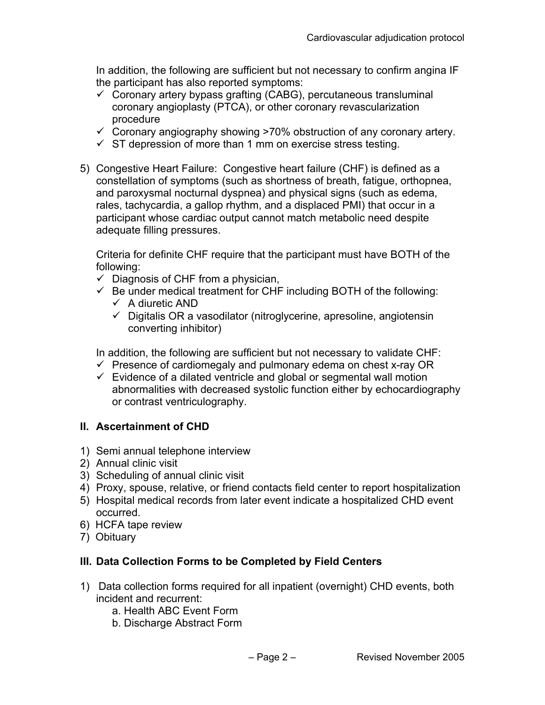In addition, the following are sufficient but not necessary to confirm angina IF the participant has also reported symptoms:

- $\checkmark$  Coronary artery bypass grafting (CABG), percutaneous transluminal coronary angioplasty (PTCA), or other coronary revascularization procedure
- $\checkmark$  Coronary angiography showing >70% obstruction of any coronary artery.
- $\checkmark$  ST depression of more than 1 mm on exercise stress testing.
- 5) Congestive Heart Failure: Congestive heart failure (CHF) is defined as a constellation of symptoms (such as shortness of breath, fatigue, orthopnea, and paroxysmal nocturnal dyspnea) and physical signs (such as edema, rales, tachycardia, a gallop rhythm, and a displaced PMI) that occur in a participant whose cardiac output cannot match metabolic need despite adequate filling pressures.

Criteria for definite CHF require that the participant must have BOTH of the following:

- $\checkmark$  Diagnosis of CHF from a physician,
- $\checkmark$  Be under medical treatment for CHF including BOTH of the following:  $\checkmark$  A diuretic AND
	- $\checkmark$  Digitalis OR a vasodilator (nitroglycerine, apresoline, angiotensin converting inhibitor)

In addition, the following are sufficient but not necessary to validate CHF:

- $\checkmark$  Presence of cardiomegaly and pulmonary edema on chest x-ray OR
- $\checkmark$  Evidence of a dilated ventricle and global or segmental wall motion abnormalities with decreased systolic function either by echocardiography or contrast ventriculography.

### **II. Ascertainment of CHD**

- 1) Semi annual telephone interview
- 2) Annual clinic visit
- 3) Scheduling of annual clinic visit
- 4) Proxy, spouse, relative, or friend contacts field center to report hospitalization
- 5) Hospital medical records from later event indicate a hospitalized CHD event occurred.
- 6) HCFA tape review
- 7) Obituary

### **III. Data Collection Forms to be Completed by Field Centers**

- 1) Data collection forms required for all inpatient (overnight) CHD events, both incident and recurrent:
	- a. Health ABC Event Form
	- b. Discharge Abstract Form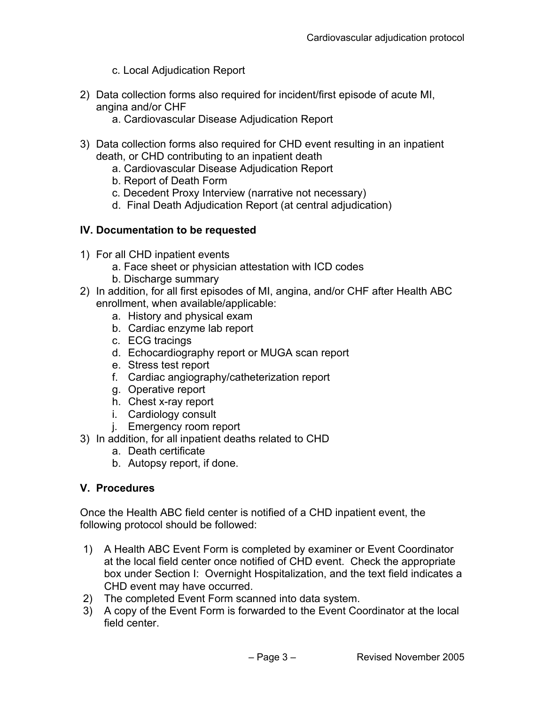- c. Local Adjudication Report
- 2) Data collection forms also required for incident/first episode of acute MI, angina and/or CHF
	- a. Cardiovascular Disease Adjudication Report
- 3) Data collection forms also required for CHD event resulting in an inpatient death, or CHD contributing to an inpatient death
	- a. Cardiovascular Disease Adjudication Report
	- b. Report of Death Form
	- c. Decedent Proxy Interview (narrative not necessary)
	- d. Final Death Adjudication Report (at central adjudication)

# **IV. Documentation to be requested**

- 1) For all CHD inpatient events
	- a. Face sheet or physician attestation with ICD codes
	- b. Discharge summary
- 2) In addition, for all first episodes of MI, angina, and/or CHF after Health ABC enrollment, when available/applicable:
	- a. History and physical exam
	- b. Cardiac enzyme lab report
	- c. ECG tracings
	- d. Echocardiography report or MUGA scan report
	- e. Stress test report
	- f. Cardiac angiography/catheterization report
	- g. Operative report
	- h. Chest x-ray report
	- i. Cardiology consult
	- j. Emergency room report
- 3) In addition, for all inpatient deaths related to CHD
	- a. Death certificate
	- b. Autopsy report, if done.

# **V. Procedures**

Once the Health ABC field center is notified of a CHD inpatient event, the following protocol should be followed:

- 1) A Health ABC Event Form is completed by examiner or Event Coordinator at the local field center once notified of CHD event. Check the appropriate box under Section I: Overnight Hospitalization, and the text field indicates a CHD event may have occurred.
- 2) The completed Event Form scanned into data system.
- 3) A copy of the Event Form is forwarded to the Event Coordinator at the local field center.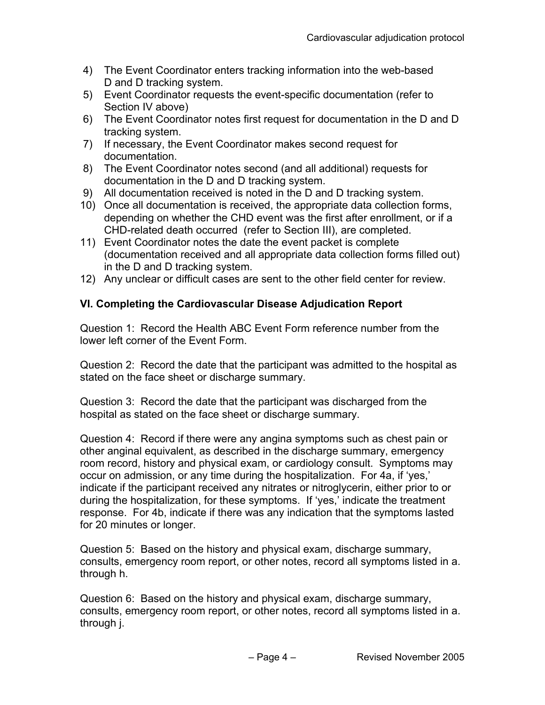- 4) The Event Coordinator enters tracking information into the web-based D and D tracking system.
- 5) Event Coordinator requests the event-specific documentation (refer to Section IV above)
- 6) The Event Coordinator notes first request for documentation in the D and D tracking system.
- 7) If necessary, the Event Coordinator makes second request for documentation.
- 8) The Event Coordinator notes second (and all additional) requests for documentation in the D and D tracking system.
- 9) All documentation received is noted in the D and D tracking system.
- 10) Once all documentation is received, the appropriate data collection forms, depending on whether the CHD event was the first after enrollment, or if a CHD-related death occurred (refer to Section III), are completed.
- 11) Event Coordinator notes the date the event packet is complete (documentation received and all appropriate data collection forms filled out) in the D and D tracking system.
- 12) Any unclear or difficult cases are sent to the other field center for review.

### **VI. Completing the Cardiovascular Disease Adjudication Report**

Question 1: Record the Health ABC Event Form reference number from the lower left corner of the Event Form.

Question 2: Record the date that the participant was admitted to the hospital as stated on the face sheet or discharge summary.

Question 3: Record the date that the participant was discharged from the hospital as stated on the face sheet or discharge summary.

Question 4: Record if there were any angina symptoms such as chest pain or other anginal equivalent, as described in the discharge summary, emergency room record, history and physical exam, or cardiology consult. Symptoms may occur on admission, or any time during the hospitalization. For 4a, if 'yes,' indicate if the participant received any nitrates or nitroglycerin, either prior to or during the hospitalization, for these symptoms. If 'yes,' indicate the treatment response. For 4b, indicate if there was any indication that the symptoms lasted for 20 minutes or longer.

Question 5: Based on the history and physical exam, discharge summary, consults, emergency room report, or other notes, record all symptoms listed in a. through h.

Question 6: Based on the history and physical exam, discharge summary, consults, emergency room report, or other notes, record all symptoms listed in a. through j.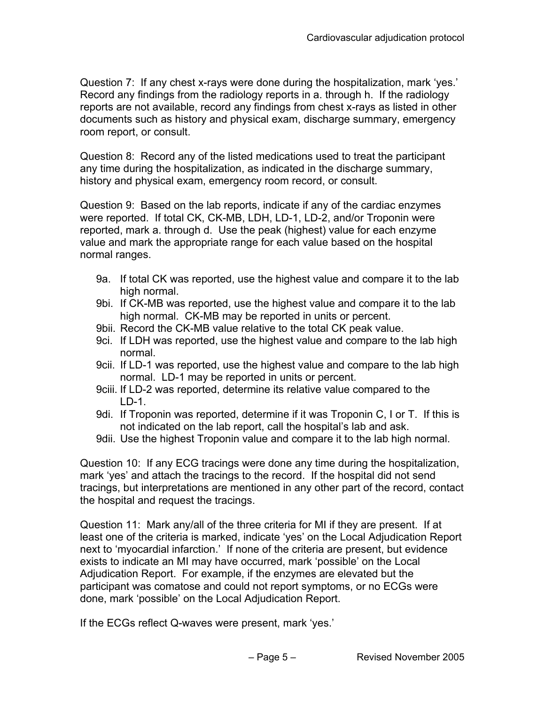Question 7: If any chest x-rays were done during the hospitalization, mark 'yes.' Record any findings from the radiology reports in a. through h. If the radiology reports are not available, record any findings from chest x-rays as listed in other documents such as history and physical exam, discharge summary, emergency room report, or consult.

Question 8: Record any of the listed medications used to treat the participant any time during the hospitalization, as indicated in the discharge summary, history and physical exam, emergency room record, or consult.

Question 9: Based on the lab reports, indicate if any of the cardiac enzymes were reported. If total CK, CK-MB, LDH, LD-1, LD-2, and/or Troponin were reported, mark a. through d. Use the peak (highest) value for each enzyme value and mark the appropriate range for each value based on the hospital normal ranges.

- 9a. If total CK was reported, use the highest value and compare it to the lab high normal.
- 9bi. If CK-MB was reported, use the highest value and compare it to the lab high normal. CK-MB may be reported in units or percent.
- 9bii. Record the CK-MB value relative to the total CK peak value.
- 9ci. If LDH was reported, use the highest value and compare to the lab high normal.
- 9cii. If LD-1 was reported, use the highest value and compare to the lab high normal. LD-1 may be reported in units or percent.
- 9ciii. If LD-2 was reported, determine its relative value compared to the LD-1.
- 9di. If Troponin was reported, determine if it was Troponin C, I or T. If this is not indicated on the lab report, call the hospital's lab and ask.
- 9dii. Use the highest Troponin value and compare it to the lab high normal.

Question 10: If any ECG tracings were done any time during the hospitalization, mark 'yes' and attach the tracings to the record. If the hospital did not send tracings, but interpretations are mentioned in any other part of the record, contact the hospital and request the tracings.

Question 11: Mark any/all of the three criteria for MI if they are present. If at least one of the criteria is marked, indicate 'yes' on the Local Adjudication Report next to 'myocardial infarction.' If none of the criteria are present, but evidence exists to indicate an MI may have occurred, mark 'possible' on the Local Adjudication Report. For example, if the enzymes are elevated but the participant was comatose and could not report symptoms, or no ECGs were done, mark 'possible' on the Local Adjudication Report.

If the ECGs reflect Q-waves were present, mark 'yes.'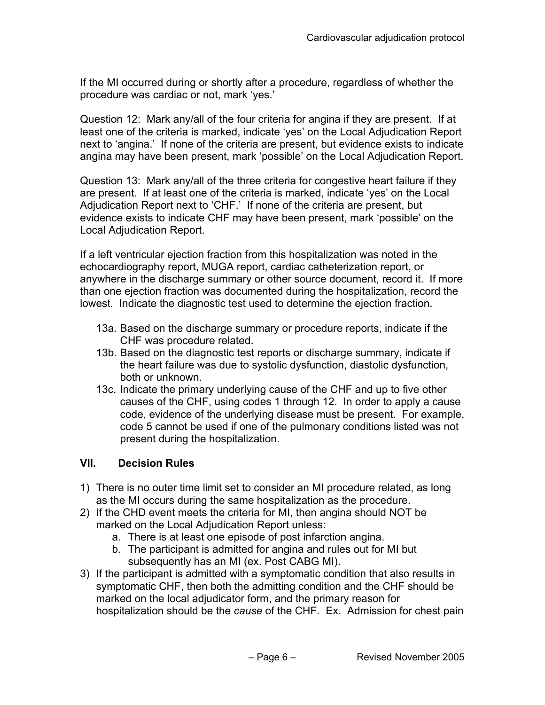If the MI occurred during or shortly after a procedure, regardless of whether the procedure was cardiac or not, mark 'yes.'

Question 12: Mark any/all of the four criteria for angina if they are present. If at least one of the criteria is marked, indicate 'yes' on the Local Adjudication Report next to 'angina.' If none of the criteria are present, but evidence exists to indicate angina may have been present, mark 'possible' on the Local Adjudication Report.

Question 13: Mark any/all of the three criteria for congestive heart failure if they are present. If at least one of the criteria is marked, indicate 'yes' on the Local Adjudication Report next to 'CHF.' If none of the criteria are present, but evidence exists to indicate CHF may have been present, mark 'possible' on the Local Adjudication Report.

If a left ventricular ejection fraction from this hospitalization was noted in the echocardiography report, MUGA report, cardiac catheterization report, or anywhere in the discharge summary or other source document, record it. If more than one ejection fraction was documented during the hospitalization, record the lowest. Indicate the diagnostic test used to determine the ejection fraction.

- 13a. Based on the discharge summary or procedure reports, indicate if the CHF was procedure related.
- 13b. Based on the diagnostic test reports or discharge summary, indicate if the heart failure was due to systolic dysfunction, diastolic dysfunction, both or unknown.
- 13c. Indicate the primary underlying cause of the CHF and up to five other causes of the CHF, using codes 1 through 12. In order to apply a cause code, evidence of the underlying disease must be present. For example, code 5 cannot be used if one of the pulmonary conditions listed was not present during the hospitalization.

### **VII. Decision Rules**

- 1) There is no outer time limit set to consider an MI procedure related, as long as the MI occurs during the same hospitalization as the procedure.
- 2) If the CHD event meets the criteria for MI, then angina should NOT be marked on the Local Adjudication Report unless:
	- a. There is at least one episode of post infarction angina.
	- b. The participant is admitted for angina and rules out for MI but subsequently has an MI (ex. Post CABG MI).
- 3) If the participant is admitted with a symptomatic condition that also results in symptomatic CHF, then both the admitting condition and the CHF should be marked on the local adjudicator form, and the primary reason for hospitalization should be the *cause* of the CHF. Ex. Admission for chest pain